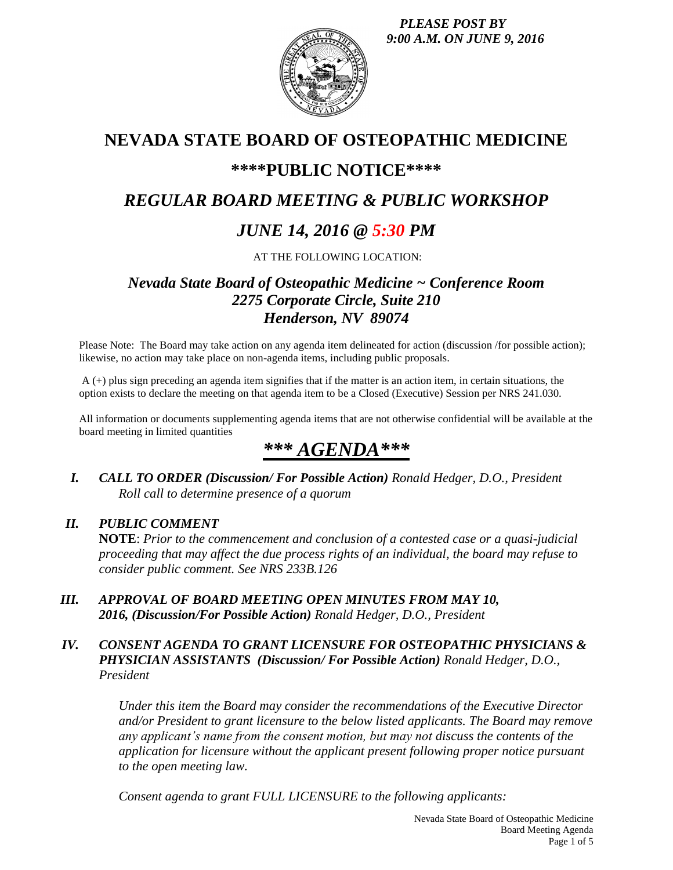*PLEASE POST BY 9:00 A.M. ON JUNE 9, 2016*



# **NEVADA STATE BOARD OF OSTEOPATHIC MEDICINE**

# **\*\*\*\*PUBLIC NOTICE\*\*\*\***

# *REGULAR BOARD MEETING & PUBLIC WORKSHOP*

# *JUNE 14, 2016 @ 5:30 PM*

AT THE FOLLOWING LOCATION:

# *Nevada State Board of Osteopathic Medicine ~ Conference Room 2275 Corporate Circle, Suite 210 Henderson, NV 89074*

Please Note: The Board may take action on any agenda item delineated for action (discussion /for possible action); likewise, no action may take place on non-agenda items, including public proposals.

A (+) plus sign preceding an agenda item signifies that if the matter is an action item, in certain situations, the option exists to declare the meeting on that agenda item to be a Closed (Executive) Session per NRS 241.030.

All information or documents supplementing agenda items that are not otherwise confidential will be available at the board meeting in limited quantities

# *\*\*\* AGENDA\*\*\**

*I. CALL TO ORDER (Discussion/ For Possible Action) Ronald Hedger, D.O., President Roll call to determine presence of a quorum*

# *II. PUBLIC COMMENT*

**NOTE**: *Prior to the commencement and conclusion of a contested case or a quasi-judicial proceeding that may affect the due process rights of an individual, the board may refuse to consider public comment. See NRS 233B.126*

*III. APPROVAL OF BOARD MEETING OPEN MINUTES FROM MAY 10, 2016, (Discussion/For Possible Action) Ronald Hedger, D.O., President*

## *IV. CONSENT AGENDA TO GRANT LICENSURE FOR OSTEOPATHIC PHYSICIANS & PHYSICIAN ASSISTANTS (Discussion/ For Possible Action) Ronald Hedger, D.O., President*

*Under this item the Board may consider the recommendations of the Executive Director and/or President to grant licensure to the below listed applicants. The Board may remove any applicant's name from the consent motion, but may not discuss the contents of the application for licensure without the applicant present following proper notice pursuant to the open meeting law.* 

*Consent agenda to grant FULL LICENSURE to the following applicants:*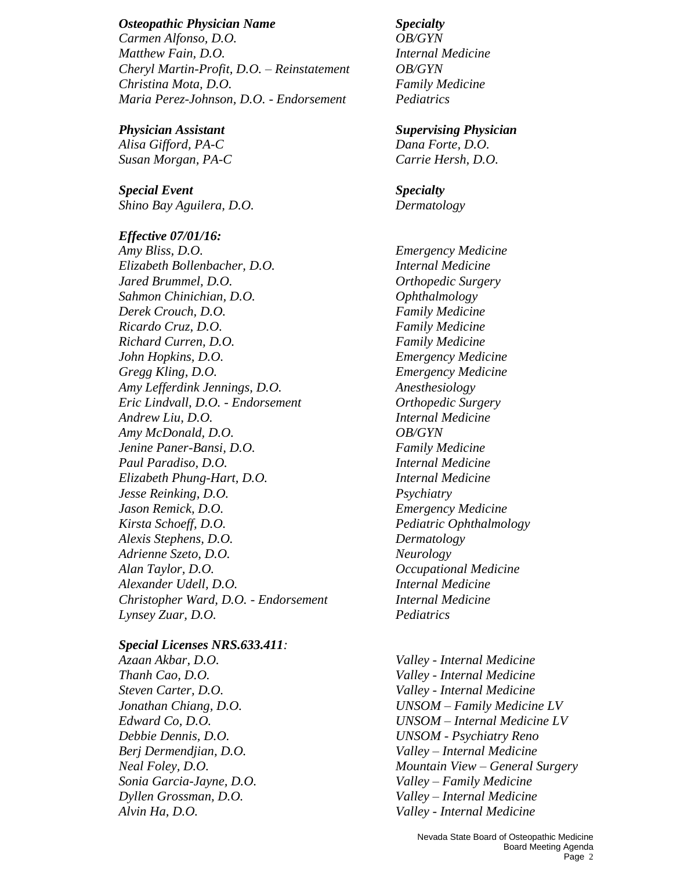#### *Osteopathic Physician Name Specialty*

*Carmen Alfonso, D.O. OB/GYN Matthew Fain, D.O. Internal Medicine Cheryl Martin-Profit, D.O. – Reinstatement OB/GYN Christina Mota, D.O. Family Medicine Maria Perez-Johnson, D.O. - Endorsement Pediatrics*

*Alisa Gifford, PA-C Dana Forte, D.O. Susan Morgan, PA-C Carrie Hersh, D.O.*

*Special Event Specialty Shino Bay Aguilera, D.O. Dermatology*

### *Effective 07/01/16:*

*Amy Bliss, D.O. Emergency Medicine Elizabeth Bollenbacher, D.O. Internal Medicine Jared Brummel, D.O. Orthopedic Surgery Sahmon Chinichian, D.O. Ophthalmology Derek Crouch, D.O. Family Medicine Ricardo Cruz, D.O. Family Medicine Richard Curren, D.O. Family Medicine John Hopkins, D.O. Emergency Medicine Gregg Kling, D.O. Emergency Medicine Amy Lefferdink Jennings, D.O. Anesthesiology Eric Lindvall, D.O. - Endorsement Orthopedic Surgery Andrew Liu, D.O. Internal Medicine Amy McDonald, D.O. OB/GYN Jenine Paner-Bansi, D.O. Family Medicine Paul Paradiso, D.O. Internal Medicine Elizabeth Phung-Hart, D.O. Internal Medicine Jesse Reinking, D.O. Psychiatry Jason Remick, D.O. Emergency Medicine Kirsta Schoeff, D.O. Pediatric Ophthalmology Alexis Stephens, D.O. Dermatology Adrienne Szeto, D.O. Neurology Alan Taylor, D.O. Occupational Medicine Alexander Udell, D.O. Internal Medicine Christopher Ward, D.O. - Endorsement Internal Medicine Lynsey Zuar, D.O. Pediatrics*

### *Special Licenses NRS.633.411:*

*Azaan Akbar, D.O. Valley - Internal Medicine Steven Carter, D.O. Valley - Internal Medicine Sonia Garcia-Jayne, D.O. Valley – Family Medicine Alvin Ha, D.O. Valley - Internal Medicine*

### *Physician Assistant Supervising Physician*

*Thanh Cao, D.O. Valley - Internal Medicine Jonathan Chiang, D.O. UNSOM – Family Medicine LV Edward Co, D.O. UNSOM – Internal Medicine LV Debbie Dennis, D.O. UNSOM - Psychiatry Reno Berj Dermendjian, D.O. Valley – Internal Medicine Neal Foley, D.O. Mountain View – General Surgery Dyllen Grossman, D.O. Valley – Internal Medicine*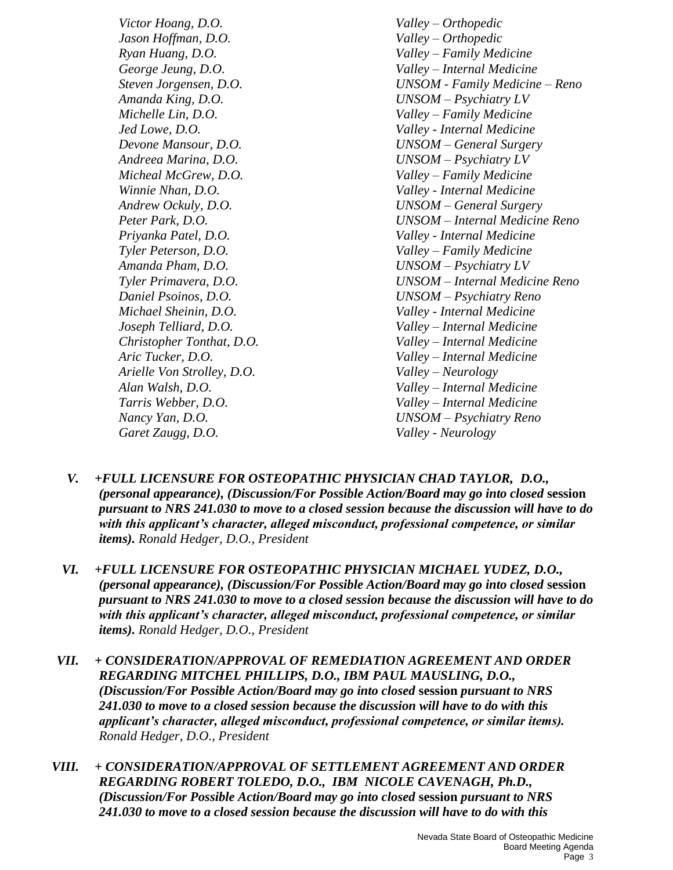*Victor Hoang, D.O. Valley – Orthopedic Jason Hoffman, D.O. Valley – Orthopedic Ryan Huang, D.O. Valley – Family Medicine Amanda King, D.O. UNSOM – Psychiatry LV Michelle Lin, D.O. Valley – Family Medicine Andreea Marina, D.O. UNSOM – Psychiatry LV Micheal McGrew, D.O. Valley – Family Medicine Tyler Peterson, D.O. Valley – Family Medicine Amanda Pham, D.O. UNSOM – Psychiatry LV Arielle Von Strolley, D.O. Valley – Neurology Garet Zaugg, D.O. Valley - Neurology*

*George Jeung, D.O. Valley – Internal Medicine Steven Jorgensen, D.O. UNSOM - Family Medicine – Reno Jed Lowe, D.O. Valley - Internal Medicine Devone Mansour, D.O. UNSOM – General Surgery Winnie Nhan, D.O. Valley - Internal Medicine Andrew Ockuly, D.O. UNSOM – General Surgery Peter Park, D.O. UNSOM – Internal Medicine Reno Priyanka Patel, D.O. Valley - Internal Medicine Tyler Primavera, D.O. UNSOM – Internal Medicine Reno Daniel Psoinos, D.O. UNSOM – Psychiatry Reno Michael Sheinin, D.O. Valley - Internal Medicine Joseph Telliard, D.O. Valley – Internal Medicine Christopher Tonthat, D.O. Valley – Internal Medicine Aric Tucker, D.O. Valley – Internal Medicine Alan Walsh, D.O. Valley – Internal Medicine Tarris Webber, D.O. Valley – Internal Medicine Nancy Yan, D.O. UNSOM – Psychiatry Reno*

- *V. +FULL LICENSURE FOR OSTEOPATHIC PHYSICIAN CHAD TAYLOR, D.O., (personal appearance), (Discussion/For Possible Action/Board may go into closed* **session** *pursuant to NRS 241.030 to move to a closed session because the discussion will have to do with this applicant's character, alleged misconduct, professional competence, or similar items). Ronald Hedger, D.O., President*
- *VI. +FULL LICENSURE FOR OSTEOPATHIC PHYSICIAN MICHAEL YUDEZ, D.O., (personal appearance), (Discussion/For Possible Action/Board may go into closed* **session** *pursuant to NRS 241.030 to move to a closed session because the discussion will have to do with this applicant's character, alleged misconduct, professional competence, or similar items). Ronald Hedger, D.O., President*
- *VII. + CONSIDERATION/APPROVAL OF REMEDIATION AGREEMENT AND ORDER REGARDING MITCHEL PHILLIPS, D.O., IBM PAUL MAUSLING, D.O., (Discussion/For Possible Action/Board may go into closed* **session** *pursuant to NRS 241.030 to move to a closed session because the discussion will have to do with this applicant's character, alleged misconduct, professional competence, or similar items). Ronald Hedger, D.O., President*
- *VIII. + CONSIDERATION/APPROVAL OF SETTLEMENT AGREEMENT AND ORDER REGARDING ROBERT TOLEDO, D.O., IBM NICOLE CAVENAGH, Ph.D., (Discussion/For Possible Action/Board may go into closed* **session** *pursuant to NRS 241.030 to move to a closed session because the discussion will have to do with this*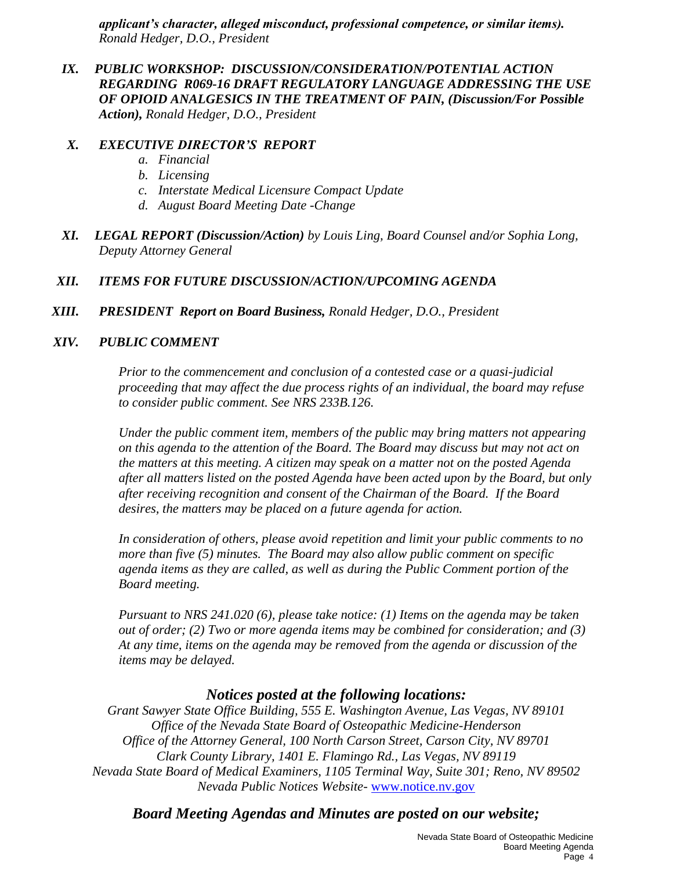*applicant's character, alleged misconduct, professional competence, or similar items). Ronald Hedger, D.O., President*

*IX. PUBLIC WORKSHOP: DISCUSSION/CONSIDERATION/POTENTIAL ACTION REGARDING R069-16 DRAFT REGULATORY LANGUAGE ADDRESSING THE USE OF OPIOID ANALGESICS IN THE TREATMENT OF PAIN, (Discussion/For Possible Action), Ronald Hedger, D.O., President*

## *X. EXECUTIVE DIRECTOR'S REPORT*

- *a. Financial*
- *b. Licensing*
- *c. Interstate Medical Licensure Compact Update*
- *d. August Board Meeting Date -Change*
- *XI. LEGAL REPORT (Discussion/Action) by Louis Ling, Board Counsel and/or Sophia Long, Deputy Attorney General*

# *XII. ITEMS FOR FUTURE DISCUSSION/ACTION/UPCOMING AGENDA*

*XIII. PRESIDENT Report on Board Business, Ronald Hedger, D.O., President*

## *XIV. PUBLIC COMMENT*

*Prior to the commencement and conclusion of a contested case or a quasi-judicial proceeding that may affect the due process rights of an individual, the board may refuse to consider public comment. See NRS 233B.126.*

*Under the public comment item, members of the public may bring matters not appearing on this agenda to the attention of the Board. The Board may discuss but may not act on the matters at this meeting. A citizen may speak on a matter not on the posted Agenda after all matters listed on the posted Agenda have been acted upon by the Board, but only after receiving recognition and consent of the Chairman of the Board. If the Board desires, the matters may be placed on a future agenda for action.*

*In consideration of others, please avoid repetition and limit your public comments to no more than five (5) minutes. The Board may also allow public comment on specific agenda items as they are called, as well as during the Public Comment portion of the Board meeting.* 

*Pursuant to NRS 241.020 (6), please take notice: (1) Items on the agenda may be taken out of order; (2) Two or more agenda items may be combined for consideration; and (3) At any time, items on the agenda may be removed from the agenda or discussion of the items may be delayed.*

# *Notices posted at the following locations:*

*Grant Sawyer State Office Building, 555 E. Washington Avenue, Las Vegas, NV 89101 Office of the Nevada State Board of Osteopathic Medicine-Henderson Office of the Attorney General, 100 North Carson Street, Carson City, NV 89701 Clark County Library, 1401 E. Flamingo Rd., Las Vegas, NV 89119 Nevada State Board of Medical Examiners, 1105 Terminal Way, Suite 301; Reno, NV 89502 Nevada Public Notices Website-* [www.notice.nv.gov](http://www.notice.nv.gov/)

# *Board Meeting Agendas and Minutes are posted on our website;*